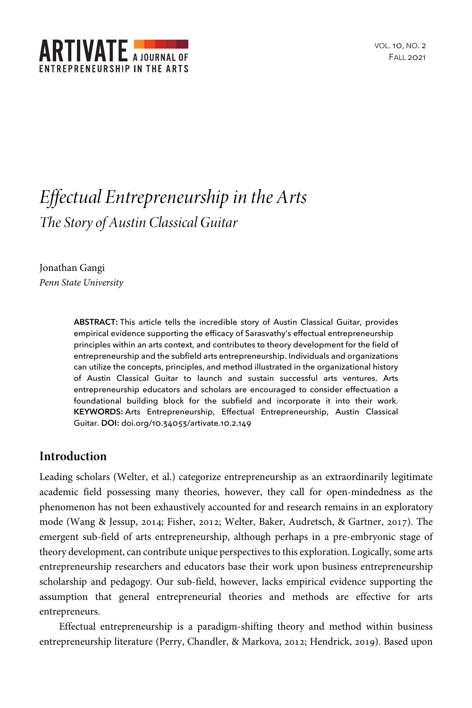

# *Effectual Entrepreneurship in the Arts The Story of Austin Classical Guitar*

Jonathan Gangi *Penn State University*

> **ABSTRACT:** This article tells the incredible story of Austin Classical Guitar, provides empirical evidence supporting the efficacy of Sarasvathy's effectual entrepreneurship principles within an arts context, and contributes to theory development for the field of entrepreneurship and the subfield arts entrepreneurship. Individuals and organizations can utilize the concepts, principles, and method illustrated in the organizational history of Austin Classical Guitar to launch and sustain successful arts ventures. Arts entrepreneurship educators and scholars are encouraged to consider effectuation a foundational building block for the subfield and incorporate it into their work. **KEYWORDS:** Arts Entrepreneurship, Effectual Entrepreneurship, Austin Classical Guitar. **DOI:** doi.org/10.34053/artivate.10.2.149

# **Introduction**

Leading scholars (Welter, et al.) categorize entrepreneurship as an extraordinarily legitimate academic field possessing many theories, however, they call for open-mindedness as the phenomenon has not been exhaustively accounted for and research remains in an exploratory mode (Wang & Jessup, 2014; Fisher, 2012; Welter, Baker, Audretsch, & Gartner, 2017). The emergent sub-field of arts entrepreneurship, although perhaps in a pre-embryonic stage of theory development, can contribute unique perspectives to this exploration. Logically, some arts entrepreneurship researchers and educators base their work upon business entrepreneurship scholarship and pedagogy. Our sub-field, however, lacks empirical evidence supporting the assumption that general entrepreneurial theories and methods are effective for arts entrepreneurs.

Effectual entrepreneurship is a paradigm-shifting theory and method within business entrepreneurship literature (Perry, Chandler, & Markova, 2012; Hendrick, 2019). Based upon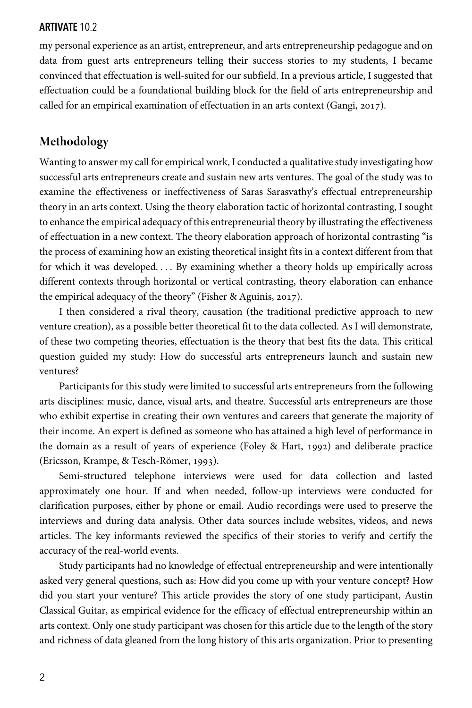my personal experience as an artist, entrepreneur, and arts entrepreneurship pedagogue and on data from guest arts entrepreneurs telling their success stories to my students, I became convinced that effectuation is well-suited for our subfield. In a previous article, I suggested that effectuation could be a foundational building block for the field of arts entrepreneurship and called for an empirical examination of effectuation in an arts context (Gangi, 2017).

# **Methodology**

Wanting to answer my call for empirical work, I conducted a qualitative study investigating how successful arts entrepreneurs create and sustain new arts ventures. The goal of the study was to examine the effectiveness or ineffectiveness of Saras Sarasvathy's effectual entrepreneurship theory in an arts context. Using the theory elaboration tactic of horizontal contrasting, I sought to enhance the empirical adequacy of this entrepreneurial theory by illustrating the effectiveness of effectuation in a new context. The theory elaboration approach of horizontal contrasting "is the process of examining how an existing theoretical insight fits in a context different from that for which it was developed. . . . By examining whether a theory holds up empirically across different contexts through horizontal or vertical contrasting, theory elaboration can enhance the empirical adequacy of the theory" (Fisher & Aguinis, 2017).

I then considered a rival theory, causation (the traditional predictive approach to new venture creation), as a possible better theoretical fit to the data collected. As I will demonstrate, of these two competing theories, effectuation is the theory that best fits the data. This critical question guided my study: How do successful arts entrepreneurs launch and sustain new ventures?

Participants for this study were limited to successful arts entrepreneurs from the following arts disciplines: music, dance, visual arts, and theatre. Successful arts entrepreneurs are those who exhibit expertise in creating their own ventures and careers that generate the majority of their income. An expert is defined as someone who has attained a high level of performance in the domain as a result of years of experience (Foley & Hart, 1992) and deliberate practice (Ericsson, Krampe, & Tesch-Römer, 1993).

Semi-structured telephone interviews were used for data collection and lasted approximately one hour. If and when needed, follow-up interviews were conducted for clarification purposes, either by phone or email. Audio recordings were used to preserve the interviews and during data analysis. Other data sources include websites, videos, and news articles. The key informants reviewed the specifics of their stories to verify and certify the accuracy of the real-world events.

Study participants had no knowledge of effectual entrepreneurship and were intentionally asked very general questions, such as: How did you come up with your venture concept? How did you start your venture? This article provides the story of one study participant, Austin Classical Guitar, as empirical evidence for the efficacy of effectual entrepreneurship within an arts context. Only one study participant was chosen for this article due to the length of the story and richness of data gleaned from the long history of this arts organization. Prior to presenting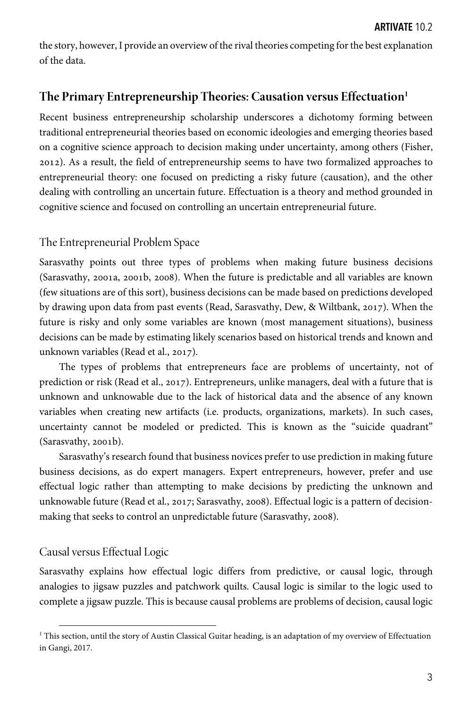the story, however, I provide an overview of the rival theories competing for the best explanation of the data.

# **The Primary Entrepreneurship Theories: Causation versus Effectuation1**

Recent business entrepreneurship scholarship underscores a dichotomy forming between traditional entrepreneurial theories based on economic ideologies and emerging theories based on a cognitive science approach to decision making under uncertainty, among others (Fisher, ). As a result, the field of entrepreneurship seems to have two formalized approaches to entrepreneurial theory: one focused on predicting a risky future (causation), and the other dealing with controlling an uncertain future. Effectuation is a theory and method grounded in cognitive science and focused on controlling an uncertain entrepreneurial future.

## The Entrepreneurial Problem Space

Sarasvathy points out three types of problems when making future business decisions (Sarasvathy, 2001a, 2001b, 2008). When the future is predictable and all variables are known (few situations are of this sort), business decisions can be made based on predictions developed by drawing upon data from past events (Read, Sarasvathy, Dew,  $\&$  Wiltbank, 2017). When the future is risky and only some variables are known (most management situations), business decisions can be made by estimating likely scenarios based on historical trends and known and unknown variables (Read et al., 2017).

The types of problems that entrepreneurs face are problems of uncertainty, not of prediction or risk (Read et al., 2017). Entrepreneurs, unlike managers, deal with a future that is unknown and unknowable due to the lack of historical data and the absence of any known variables when creating new artifacts (i.e. products, organizations, markets). In such cases, uncertainty cannot be modeled or predicted. This is known as the "suicide quadrant"  $(Sarasyathy, 2001b).$ 

Sarasvathy's research found that business novices prefer to use prediction in making future business decisions, as do expert managers. Expert entrepreneurs, however, prefer and use effectual logic rather than attempting to make decisions by predicting the unknown and unknowable future (Read et al., 2017; Sarasvathy, 2008). Effectual logic is a pattern of decisionmaking that seeks to control an unpredictable future (Sarasvathy, 2008).

## Causal versus Effectual Logic

Sarasvathy explains how effectual logic differs from predictive, or causal logic, through analogies to jigsaw puzzles and patchwork quilts. Causal logic is similar to the logic used to complete a jigsaw puzzle. This is because causal problems are problems of decision, causal logic

 $1$ <sup>1</sup> This section, until the story of Austin Classical Guitar heading, is an adaptation of my overview of Effectuation in Gangi, 2017.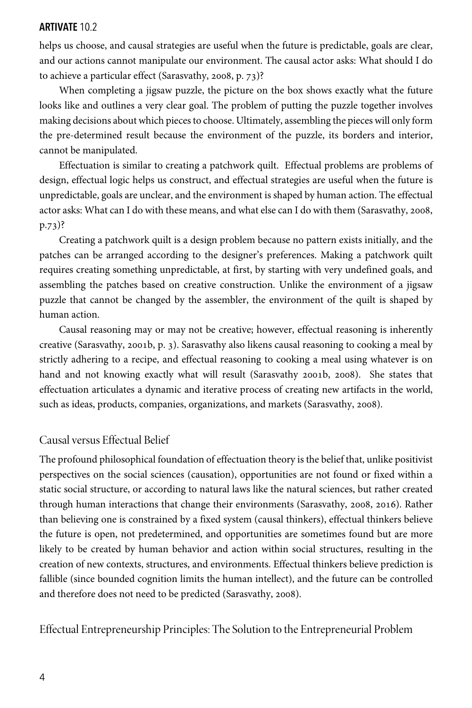helps us choose, and causal strategies are useful when the future is predictable, goals are clear, and our actions cannot manipulate our environment. The causal actor asks: What should I do to achieve a particular effect (Sarasvathy, 2008, p.  $73$ )?

When completing a jigsaw puzzle, the picture on the box shows exactly what the future looks like and outlines a very clear goal. The problem of putting the puzzle together involves making decisions about which pieces to choose. Ultimately, assembling the pieces will only form the pre-determined result because the environment of the puzzle, its borders and interior, cannot be manipulated.

Effectuation is similar to creating a patchwork quilt. Effectual problems are problems of design, effectual logic helps us construct, and effectual strategies are useful when the future is unpredictable, goals are unclear, and the environment is shaped by human action. The effectual actor asks: What can I do with these means, and what else can I do with them (Sarasvathy, 2008,  $p.73$ ?

Creating a patchwork quilt is a design problem because no pattern exists initially, and the patches can be arranged according to the designer's preferences. Making a patchwork quilt requires creating something unpredictable, at first, by starting with very undefined goals, and assembling the patches based on creative construction. Unlike the environment of a jigsaw puzzle that cannot be changed by the assembler, the environment of the quilt is shaped by human action.

Causal reasoning may or may not be creative; however, effectual reasoning is inherently creative (Sarasvathy, 2001b, p. 3). Sarasvathy also likens causal reasoning to cooking a meal by strictly adhering to a recipe, and effectual reasoning to cooking a meal using whatever is on hand and not knowing exactly what will result (Sarasvathy 2001b, 2008). She states that effectuation articulates a dynamic and iterative process of creating new artifacts in the world, such as ideas, products, companies, organizations, and markets (Sarasvathy, 2008).

## Causal versus Effectual Belief

The profound philosophical foundation of effectuation theory is the belief that, unlike positivist perspectives on the social sciences (causation), opportunities are not found or fixed within a static social structure, or according to natural laws like the natural sciences, but rather created through human interactions that change their environments (Sarasvathy, 2008, 2016). Rather than believing one is constrained by a fixed system (causal thinkers), effectual thinkers believe the future is open, not predetermined, and opportunities are sometimes found but are more likely to be created by human behavior and action within social structures, resulting in the creation of new contexts, structures, and environments. Effectual thinkers believe prediction is fallible (since bounded cognition limits the human intellect), and the future can be controlled and therefore does not need to be predicted (Sarasvathy, 2008).

Effectual Entrepreneurship Principles: The Solution to the Entrepreneurial Problem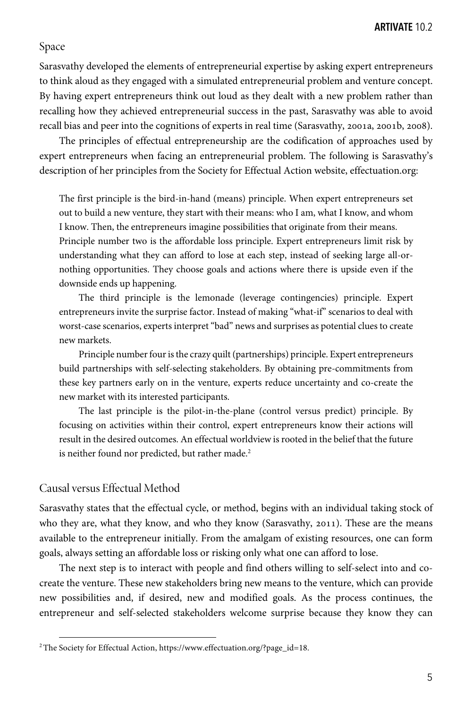## Space

Sarasvathy developed the elements of entrepreneurial expertise by asking expert entrepreneurs to think aloud as they engaged with a simulated entrepreneurial problem and venture concept. By having expert entrepreneurs think out loud as they dealt with a new problem rather than recalling how they achieved entrepreneurial success in the past, Sarasvathy was able to avoid recall bias and peer into the cognitions of experts in real time (Sarasvathy, 2001a, 2001b, 2008).

The principles of effectual entrepreneurship are the codification of approaches used by expert entrepreneurs when facing an entrepreneurial problem. The following is Sarasvathy's description of her principles from the Society for Effectual Action website, effectuation.org:

The first principle is the bird-in-hand (means) principle. When expert entrepreneurs set out to build a new venture, they start with their means: who I am, what I know, and whom I know. Then, the entrepreneurs imagine possibilities that originate from their means. Principle number two is the affordable loss principle. Expert entrepreneurs limit risk by understanding what they can afford to lose at each step, instead of seeking large all-ornothing opportunities. They choose goals and actions where there is upside even if the downside ends up happening.

The third principle is the lemonade (leverage contingencies) principle. Expert entrepreneurs invite the surprise factor. Instead of making "what-if" scenarios to deal with worst-case scenarios, experts interpret "bad" news and surprises as potential clues to create new markets.

Principle number four is the crazy quilt (partnerships) principle. Expert entrepreneurs build partnerships with self-selecting stakeholders. By obtaining pre-commitments from these key partners early on in the venture, experts reduce uncertainty and co-create the new market with its interested participants.

The last principle is the pilot-in-the-plane (control versus predict) principle. By focusing on activities within their control, expert entrepreneurs know their actions will result in the desired outcomes. An effectual worldview is rooted in the belief that the future is neither found nor predicted, but rather made.<sup>2</sup>

## Causal versus Effectual Method

Sarasvathy states that the effectual cycle, or method, begins with an individual taking stock of who they are, what they know, and who they know (Sarasvathy, 2011). These are the means available to the entrepreneur initially. From the amalgam of existing resources, one can form goals, always setting an affordable loss or risking only what one can afford to lose.

The next step is to interact with people and find others willing to self-select into and cocreate the venture. These new stakeholders bring new means to the venture, which can provide new possibilities and, if desired, new and modified goals. As the process continues, the entrepreneur and self-selected stakeholders welcome surprise because they know they can

<sup>&</sup>lt;sup>2</sup>The Society for Effectual Action, https://www.effectuation.org/?page\_id=18.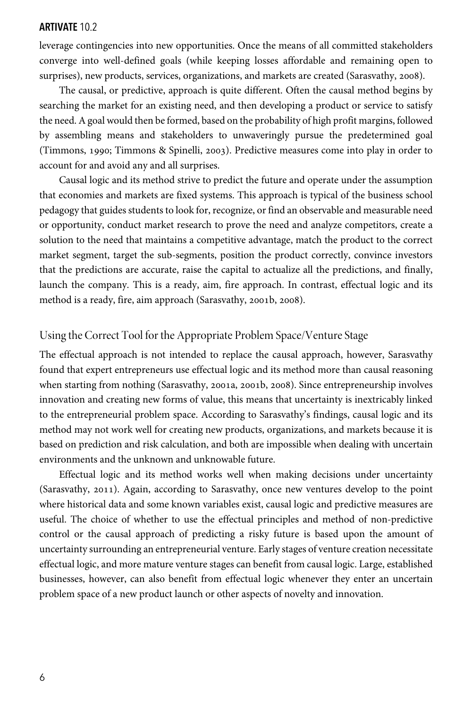leverage contingencies into new opportunities. Once the means of all committed stakeholders converge into well-defined goals (while keeping losses affordable and remaining open to surprises), new products, services, organizations, and markets are created (Sarasvathy, 2008).

The causal, or predictive, approach is quite different. Often the causal method begins by searching the market for an existing need, and then developing a product or service to satisfy the need. A goal would then be formed, based on the probability of high profit margins, followed by assembling means and stakeholders to unwaveringly pursue the predetermined goal (Timmons, 1990; Timmons & Spinelli, 2003). Predictive measures come into play in order to account for and avoid any and all surprises.

Causal logic and its method strive to predict the future and operate under the assumption that economies and markets are fixed systems. This approach is typical of the business school pedagogy that guides students to look for, recognize, or find an observable and measurable need or opportunity, conduct market research to prove the need and analyze competitors, create a solution to the need that maintains a competitive advantage, match the product to the correct market segment, target the sub-segments, position the product correctly, convince investors that the predictions are accurate, raise the capital to actualize all the predictions, and finally, launch the company. This is a ready, aim, fire approach. In contrast, effectual logic and its method is a ready, fire, aim approach (Sarasvathy, 2001b, 2008).

# Using the Correct Tool for the Appropriate Problem Space/Venture Stage

The effectual approach is not intended to replace the causal approach, however, Sarasvathy found that expert entrepreneurs use effectual logic and its method more than causal reasoning when starting from nothing (Sarasvathy, 2001a, 2001b, 2008). Since entrepreneurship involves innovation and creating new forms of value, this means that uncertainty is inextricably linked to the entrepreneurial problem space. According to Sarasvathy's findings, causal logic and its method may not work well for creating new products, organizations, and markets because it is based on prediction and risk calculation, and both are impossible when dealing with uncertain environments and the unknown and unknowable future.

Effectual logic and its method works well when making decisions under uncertainty (Sarasvathy, 2011). Again, according to Sarasvathy, once new ventures develop to the point where historical data and some known variables exist, causal logic and predictive measures are useful. The choice of whether to use the effectual principles and method of non-predictive control or the causal approach of predicting a risky future is based upon the amount of uncertainty surrounding an entrepreneurial venture. Early stages of venture creation necessitate effectual logic, and more mature venture stages can benefit from causal logic. Large, established businesses, however, can also benefit from effectual logic whenever they enter an uncertain problem space of a new product launch or other aspects of novelty and innovation.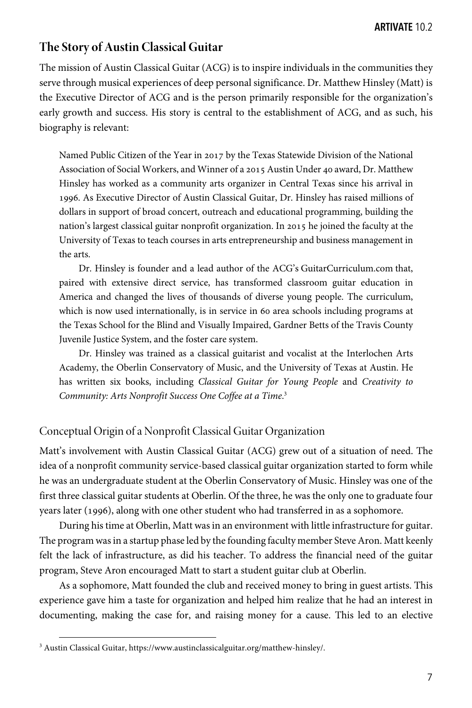# **The Story of Austin Classical Guitar**

The mission of Austin Classical Guitar (ACG) is to inspire individuals in the communities they serve through musical experiences of deep personal significance. Dr. Matthew Hinsley (Matt) is the Executive Director of ACG and is the person primarily responsible for the organization's early growth and success. His story is central to the establishment of ACG, and as such, his biography is relevant:

Named Public Citizen of the Year in 2017 by the Texas Statewide Division of the National Association of Social Workers, and Winner of a 2015 Austin Under 40 award, Dr. Matthew Hinsley has worked as a community arts organizer in Central Texas since his arrival in . As Executive Director of Austin Classical Guitar, Dr. Hinsley has raised millions of dollars in support of broad concert, outreach and educational programming, building the nation's largest classical guitar nonprofit organization. In 2015 he joined the faculty at the University of Texas to teach courses in arts entrepreneurship and business management in the arts.

Dr. Hinsley is founder and a lead author of the ACG's GuitarCurriculum.com that, paired with extensive direct service, has transformed classroom guitar education in America and changed the lives of thousands of diverse young people. The curriculum, which is now used internationally, is in service in 60 area schools including programs at the Texas School for the Blind and Visually Impaired, Gardner Betts of the Travis County Juvenile Justice System, and the foster care system.

Dr. Hinsley was trained as a classical guitarist and vocalist at the Interlochen Arts Academy, the Oberlin Conservatory of Music, and the University of Texas at Austin. He has written six books, including *Classical Guitar for Young People* and *Creativity to Community: Arts Nonprofit Success One Coffee at a Time*. 3

# Conceptual Origin of a Nonprofit Classical Guitar Organization

Matt's involvement with Austin Classical Guitar (ACG) grew out of a situation of need. The idea of a nonprofit community service-based classical guitar organization started to form while he was an undergraduate student at the Oberlin Conservatory of Music. Hinsley was one of the first three classical guitar students at Oberlin. Of the three, he was the only one to graduate four years later (1996), along with one other student who had transferred in as a sophomore.

During his time at Oberlin, Matt was in an environment with little infrastructure for guitar. The program was in a startup phase led by the founding faculty member Steve Aron. Matt keenly felt the lack of infrastructure, as did his teacher. To address the financial need of the guitar program, Steve Aron encouraged Matt to start a student guitar club at Oberlin.

As a sophomore, Matt founded the club and received money to bring in guest artists. This experience gave him a taste for organization and helped him realize that he had an interest in documenting, making the case for, and raising money for a cause. This led to an elective

<sup>&</sup>lt;sup>3</sup> Austin Classical Guitar, https://www.austinclassicalguitar.org/matthew-hinsley/.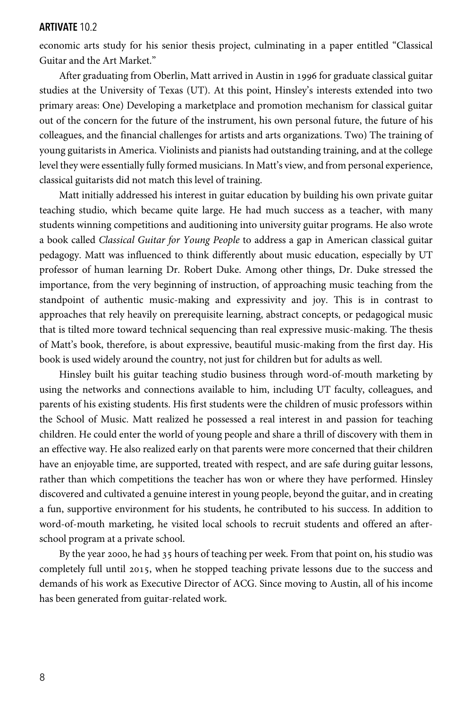economic arts study for his senior thesis project, culminating in a paper entitled "Classical Guitar and the Art Market."

After graduating from Oberlin, Matt arrived in Austin in 1996 for graduate classical guitar studies at the University of Texas (UT). At this point, Hinsley's interests extended into two primary areas: One) Developing a marketplace and promotion mechanism for classical guitar out of the concern for the future of the instrument, his own personal future, the future of his colleagues, and the financial challenges for artists and arts organizations. Two) The training of young guitarists in America. Violinists and pianists had outstanding training, and at the college level they were essentially fully formed musicians. In Matt's view, and from personal experience, classical guitarists did not match this level of training.

Matt initially addressed his interest in guitar education by building his own private guitar teaching studio, which became quite large. He had much success as a teacher, with many students winning competitions and auditioning into university guitar programs. He also wrote a book called *Classical Guitar for Young People* to address a gap in American classical guitar pedagogy. Matt was influenced to think differently about music education, especially by UT professor of human learning Dr. Robert Duke. Among other things, Dr. Duke stressed the importance, from the very beginning of instruction, of approaching music teaching from the standpoint of authentic music-making and expressivity and joy. This is in contrast to approaches that rely heavily on prerequisite learning, abstract concepts, or pedagogical music that is tilted more toward technical sequencing than real expressive music-making. The thesis of Matt's book, therefore, is about expressive, beautiful music-making from the first day. His book is used widely around the country, not just for children but for adults as well.

Hinsley built his guitar teaching studio business through word-of-mouth marketing by using the networks and connections available to him, including UT faculty, colleagues, and parents of his existing students. His first students were the children of music professors within the School of Music. Matt realized he possessed a real interest in and passion for teaching children. He could enter the world of young people and share a thrill of discovery with them in an effective way. He also realized early on that parents were more concerned that their children have an enjoyable time, are supported, treated with respect, and are safe during guitar lessons, rather than which competitions the teacher has won or where they have performed. Hinsley discovered and cultivated a genuine interest in young people, beyond the guitar, and in creating a fun, supportive environment for his students, he contributed to his success. In addition to word-of-mouth marketing, he visited local schools to recruit students and offered an afterschool program at a private school.

By the year 2000, he had  $35$  hours of teaching per week. From that point on, his studio was completely full until 2015, when he stopped teaching private lessons due to the success and demands of his work as Executive Director of ACG. Since moving to Austin, all of his income has been generated from guitar-related work.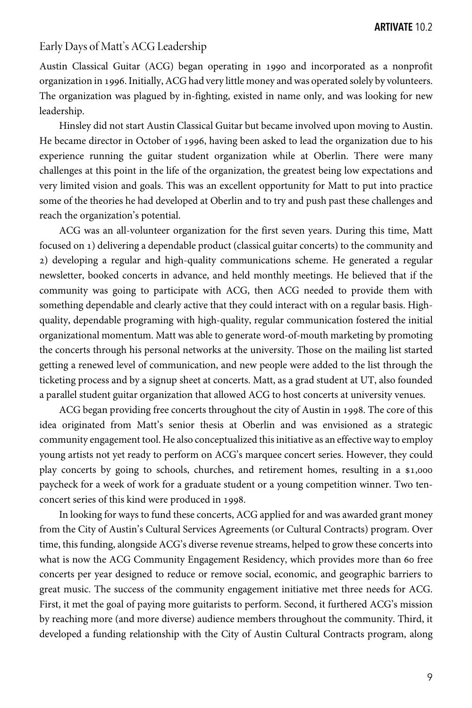# Early Days of Matt's ACG Leadership

Austin Classical Guitar (ACG) began operating in 1990 and incorporated as a nonprofit organization in 1996. Initially, ACG had very little money and was operated solely by volunteers. The organization was plagued by in-fighting, existed in name only, and was looking for new leadership.

Hinsley did not start Austin Classical Guitar but became involved upon moving to Austin. He became director in October of 1996, having been asked to lead the organization due to his experience running the guitar student organization while at Oberlin. There were many challenges at this point in the life of the organization, the greatest being low expectations and very limited vision and goals. This was an excellent opportunity for Matt to put into practice some of the theories he had developed at Oberlin and to try and push past these challenges and reach the organization's potential.

ACG was an all-volunteer organization for the first seven years. During this time, Matt focused on ) delivering a dependable product (classical guitar concerts) to the community and ) developing a regular and high-quality communications scheme. He generated a regular newsletter, booked concerts in advance, and held monthly meetings. He believed that if the community was going to participate with ACG, then ACG needed to provide them with something dependable and clearly active that they could interact with on a regular basis. Highquality, dependable programing with high-quality, regular communication fostered the initial organizational momentum. Matt was able to generate word-of-mouth marketing by promoting the concerts through his personal networks at the university. Those on the mailing list started getting a renewed level of communication, and new people were added to the list through the ticketing process and by a signup sheet at concerts. Matt, as a grad student at UT, also founded a parallel student guitar organization that allowed ACG to host concerts at university venues.

ACG began providing free concerts throughout the city of Austin in 1998. The core of this idea originated from Matt's senior thesis at Oberlin and was envisioned as a strategic community engagement tool. He also conceptualized this initiative as an effective way to employ young artists not yet ready to perform on ACG's marquee concert series. However, they could play concerts by going to schools, churches, and retirement homes, resulting in a \$1,000 paycheck for a week of work for a graduate student or a young competition winner. Two tenconcert series of this kind were produced in 1998.

In looking for ways to fund these concerts, ACG applied for and was awarded grant money from the City of Austin's Cultural Services Agreements (or Cultural Contracts) program. Over time, this funding, alongside ACG's diverse revenue streams, helped to grow these concerts into what is now the ACG Community Engagement Residency, which provides more than 60 free concerts per year designed to reduce or remove social, economic, and geographic barriers to great music. The success of the community engagement initiative met three needs for ACG. First, it met the goal of paying more guitarists to perform. Second, it furthered ACG's mission by reaching more (and more diverse) audience members throughout the community. Third, it developed a funding relationship with the City of Austin Cultural Contracts program, along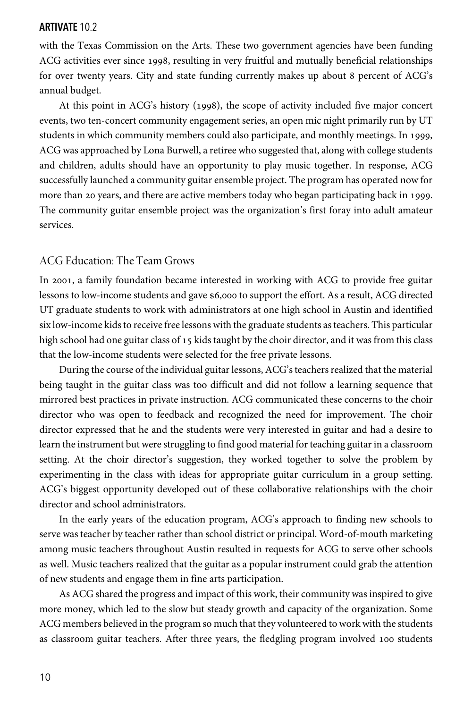with the Texas Commission on the Arts. These two government agencies have been funding ACG activities ever since 1998, resulting in very fruitful and mutually beneficial relationships for over twenty years. City and state funding currently makes up about 8 percent of ACG's annual budget.

At this point in ACG's history (1998), the scope of activity included five major concert events, two ten-concert community engagement series, an open mic night primarily run by UT students in which community members could also participate, and monthly meetings. In 1999, ACG was approached by Lona Burwell, a retiree who suggested that, along with college students and children, adults should have an opportunity to play music together. In response, ACG successfully launched a community guitar ensemble project. The program has operated now for more than 20 years, and there are active members today who began participating back in 1999. The community guitar ensemble project was the organization's first foray into adult amateur services.

## ACG Education: The Team Grows

In 2001, a family foundation became interested in working with ACG to provide free guitar lessons to low-income students and gave \$6,000 to support the effort. As a result, ACG directed UT graduate students to work with administrators at one high school in Austin and identified six low-income kids to receive free lessons with the graduate students as teachers. This particular high school had one guitar class of  $15$  kids taught by the choir director, and it was from this class that the low-income students were selected for the free private lessons.

During the course of the individual guitar lessons, ACG's teachers realized that the material being taught in the guitar class was too difficult and did not follow a learning sequence that mirrored best practices in private instruction. ACG communicated these concerns to the choir director who was open to feedback and recognized the need for improvement. The choir director expressed that he and the students were very interested in guitar and had a desire to learn the instrument but were struggling to find good material for teaching guitar in a classroom setting. At the choir director's suggestion, they worked together to solve the problem by experimenting in the class with ideas for appropriate guitar curriculum in a group setting. ACG's biggest opportunity developed out of these collaborative relationships with the choir director and school administrators.

In the early years of the education program, ACG's approach to finding new schools to serve was teacher by teacher rather than school district or principal. Word-of-mouth marketing among music teachers throughout Austin resulted in requests for ACG to serve other schools as well. Music teachers realized that the guitar as a popular instrument could grab the attention of new students and engage them in fine arts participation.

As ACG shared the progress and impact of this work, their community was inspired to give more money, which led to the slow but steady growth and capacity of the organization. Some ACG members believed in the program so much that they volunteered to work with the students as classroom guitar teachers. After three years, the fledgling program involved 100 students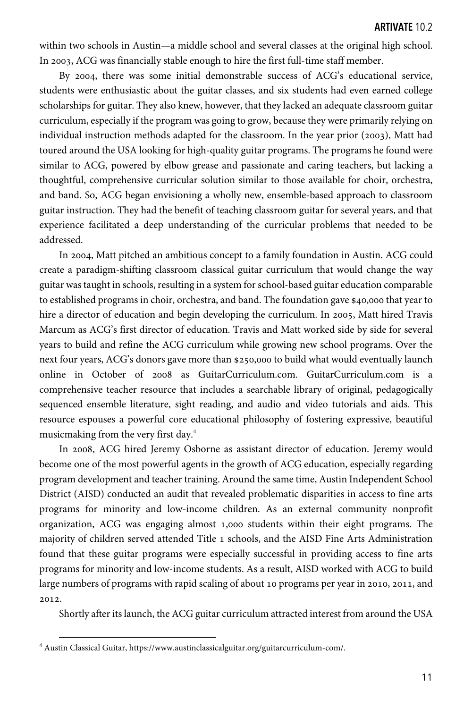within two schools in Austin—a middle school and several classes at the original high school. In 2003, ACG was financially stable enough to hire the first full-time staff member.

By 2004, there was some initial demonstrable success of ACG's educational service, students were enthusiastic about the guitar classes, and six students had even earned college scholarships for guitar. They also knew, however, that they lacked an adequate classroom guitar curriculum, especially if the program was going to grow, because they were primarily relying on individual instruction methods adapted for the classroom. In the year prior  $(2003)$ , Matt had toured around the USA looking for high-quality guitar programs. The programs he found were similar to ACG, powered by elbow grease and passionate and caring teachers, but lacking a thoughtful, comprehensive curricular solution similar to those available for choir, orchestra, and band. So, ACG began envisioning a wholly new, ensemble-based approach to classroom guitar instruction. They had the benefit of teaching classroom guitar for several years, and that experience facilitated a deep understanding of the curricular problems that needed to be addressed.

In 2004, Matt pitched an ambitious concept to a family foundation in Austin. ACG could create a paradigm-shifting classroom classical guitar curriculum that would change the way guitar was taught in schools, resulting in a system for school-based guitar education comparable to established programs in choir, orchestra, and band. The foundation gave \$40,000 that year to hire a director of education and begin developing the curriculum. In 2005, Matt hired Travis Marcum as ACG's first director of education. Travis and Matt worked side by side for several years to build and refine the ACG curriculum while growing new school programs. Over the next four years, ACG's donors gave more than \$250,000 to build what would eventually launch online in October of 2008 as GuitarCurriculum.com. GuitarCurriculum.com is a comprehensive teacher resource that includes a searchable library of original, pedagogically sequenced ensemble literature, sight reading, and audio and video tutorials and aids. This resource espouses a powerful core educational philosophy of fostering expressive, beautiful musicmaking from the very first day.4

In 2008, ACG hired Jeremy Osborne as assistant director of education. Jeremy would become one of the most powerful agents in the growth of ACG education, especially regarding program development and teacher training. Around the same time, Austin Independent School District (AISD) conducted an audit that revealed problematic disparities in access to fine arts programs for minority and low-income children. As an external community nonprofit organization, ACG was engaging almost 1,000 students within their eight programs. The majority of children served attended Title 1 schools, and the AISD Fine Arts Administration found that these guitar programs were especially successful in providing access to fine arts programs for minority and low-income students. As a result, AISD worked with ACG to build large numbers of programs with rapid scaling of about 10 programs per year in 2010, 2011, and 2012.

Shortly after its launch, the ACG guitar curriculum attracted interest from around the USA

<sup>4</sup> Austin Classical Guitar, https://www.austinclassicalguitar.org/guitarcurriculum-com/.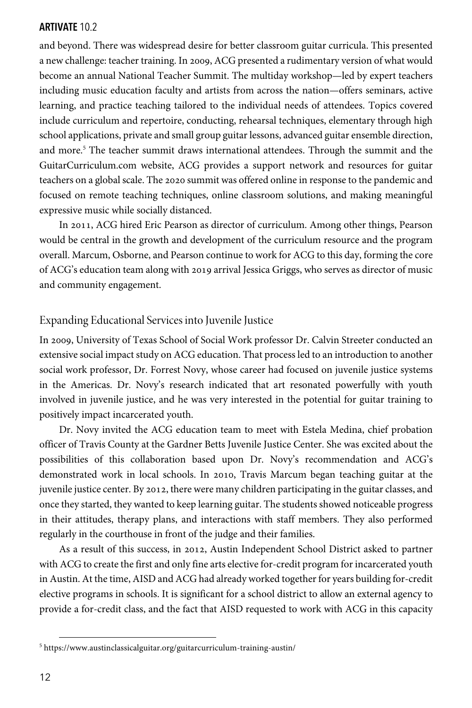and beyond. There was widespread desire for better classroom guitar curricula. This presented a new challenge: teacher training. In 2009, ACG presented a rudimentary version of what would become an annual National Teacher Summit. The multiday workshop—led by expert teachers including music education faculty and artists from across the nation—offers seminars, active learning, and practice teaching tailored to the individual needs of attendees. Topics covered include curriculum and repertoire, conducting, rehearsal techniques, elementary through high school applications, private and small group guitar lessons, advanced guitar ensemble direction, and more.<sup>5</sup> The teacher summit draws international attendees. Through the summit and the GuitarCurriculum.com website, ACG provides a support network and resources for guitar teachers on a global scale. The 2020 summit was offered online in response to the pandemic and focused on remote teaching techniques, online classroom solutions, and making meaningful expressive music while socially distanced.

In 2011, ACG hired Eric Pearson as director of curriculum. Among other things, Pearson would be central in the growth and development of the curriculum resource and the program overall. Marcum, Osborne, and Pearson continue to work for ACG to this day, forming the core of ACG's education team along with 2019 arrival Jessica Griggs, who serves as director of music and community engagement.

### Expanding Educational Services into Juvenile Justice

In 2009, University of Texas School of Social Work professor Dr. Calvin Streeter conducted an extensive social impact study on ACG education. That process led to an introduction to another social work professor, Dr. Forrest Novy, whose career had focused on juvenile justice systems in the Americas. Dr. Novy's research indicated that art resonated powerfully with youth involved in juvenile justice, and he was very interested in the potential for guitar training to positively impact incarcerated youth.

Dr. Novy invited the ACG education team to meet with Estela Medina, chief probation officer of Travis County at the Gardner Betts Juvenile Justice Center. She was excited about the possibilities of this collaboration based upon Dr. Novy's recommendation and ACG's demonstrated work in local schools. In 2010, Travis Marcum began teaching guitar at the juvenile justice center. By 2012, there were many children participating in the guitar classes, and once they started, they wanted to keep learning guitar. The students showed noticeable progress in their attitudes, therapy plans, and interactions with staff members. They also performed regularly in the courthouse in front of the judge and their families.

As a result of this success, in 2012, Austin Independent School District asked to partner with ACG to create the first and only fine arts elective for-credit program for incarcerated youth in Austin. At the time, AISD and ACG had already worked together for years building for-credit elective programs in schools. It is significant for a school district to allow an external agency to provide a for-credit class, and the fact that AISD requested to work with ACG in this capacity

<sup>5</sup> https://www.austinclassicalguitar.org/guitarcurriculum-training-austin/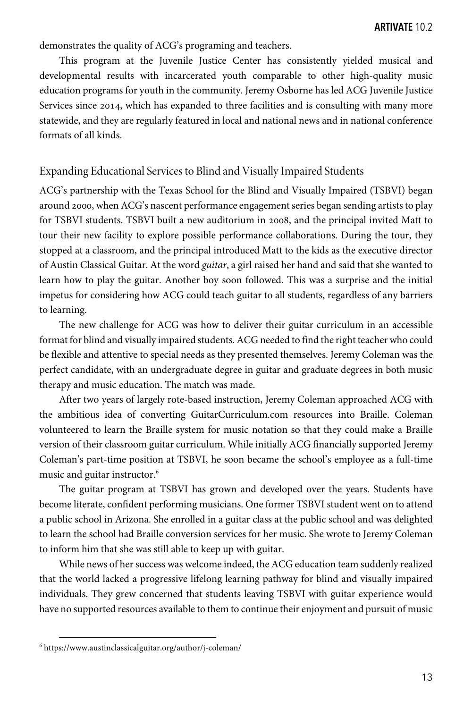demonstrates the quality of ACG's programing and teachers.

This program at the Juvenile Justice Center has consistently yielded musical and developmental results with incarcerated youth comparable to other high-quality music education programs for youth in the community. Jeremy Osborne has led ACG Juvenile Justice Services since 2014, which has expanded to three facilities and is consulting with many more statewide, and they are regularly featured in local and national news and in national conference formats of all kinds.

#### Expanding Educational Services to Blind and Visually Impaired Students

ACG's partnership with the Texas School for the Blind and Visually Impaired (TSBVI) began around 2000, when ACG's nascent performance engagement series began sending artists to play for TSBVI students. TSBVI built a new auditorium in 2008, and the principal invited Matt to tour their new facility to explore possible performance collaborations. During the tour, they stopped at a classroom, and the principal introduced Matt to the kids as the executive director of Austin Classical Guitar. At the word *guitar*, a girl raised her hand and said that she wanted to learn how to play the guitar. Another boy soon followed. This was a surprise and the initial impetus for considering how ACG could teach guitar to all students, regardless of any barriers to learning.

The new challenge for ACG was how to deliver their guitar curriculum in an accessible format for blind and visually impaired students. ACG needed to find the right teacher who could be flexible and attentive to special needs as they presented themselves. Jeremy Coleman was the perfect candidate, with an undergraduate degree in guitar and graduate degrees in both music therapy and music education. The match was made.

After two years of largely rote-based instruction, Jeremy Coleman approached ACG with the ambitious idea of converting GuitarCurriculum.com resources into Braille. Coleman volunteered to learn the Braille system for music notation so that they could make a Braille version of their classroom guitar curriculum. While initially ACG financially supported Jeremy Coleman's part-time position at TSBVI, he soon became the school's employee as a full-time music and guitar instructor.<sup>6</sup>

The guitar program at TSBVI has grown and developed over the years. Students have become literate, confident performing musicians. One former TSBVI student went on to attend a public school in Arizona. She enrolled in a guitar class at the public school and was delighted to learn the school had Braille conversion services for her music. She wrote to Jeremy Coleman to inform him that she was still able to keep up with guitar.

While news of her success was welcome indeed, the ACG education team suddenly realized that the world lacked a progressive lifelong learning pathway for blind and visually impaired individuals. They grew concerned that students leaving TSBVI with guitar experience would have no supported resources available to them to continue their enjoyment and pursuit of music

<sup>6</sup> https://www.austinclassicalguitar.org/author/j-coleman/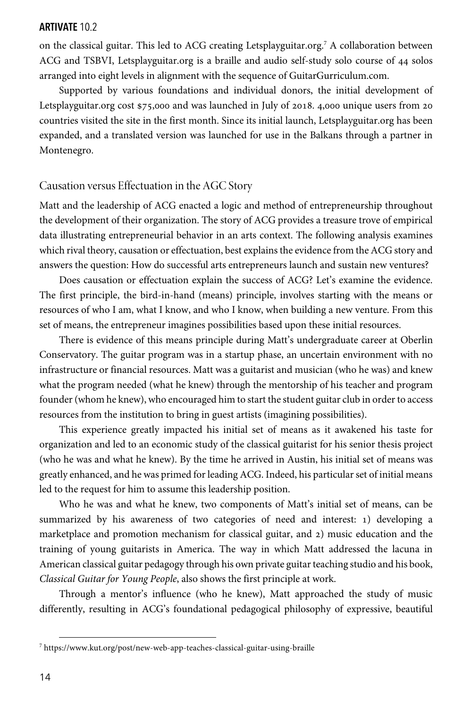on the classical guitar. This led to ACG creating Letsplayguitar.org.7 A collaboration between ACG and TSBVI, Letsplayguitar.org is a braille and audio self-study solo course of 44 solos arranged into eight levels in alignment with the sequence of GuitarGurriculum.com.

Supported by various foundations and individual donors, the initial development of Letsplayguitar.org cost  $$75,000$  and was launched in July of 2018. 4,000 unique users from 20 countries visited the site in the first month. Since its initial launch, Letsplayguitar.org has been expanded, and a translated version was launched for use in the Balkans through a partner in Montenegro.

# Causation versus Effectuation in the AGC Story

Matt and the leadership of ACG enacted a logic and method of entrepreneurship throughout the development of their organization. The story of ACG provides a treasure trove of empirical data illustrating entrepreneurial behavior in an arts context. The following analysis examines which rival theory, causation or effectuation, best explains the evidence from the ACG story and answers the question: How do successful arts entrepreneurs launch and sustain new ventures?

Does causation or effectuation explain the success of ACG? Let's examine the evidence. The first principle, the bird-in-hand (means) principle, involves starting with the means or resources of who I am, what I know, and who I know, when building a new venture. From this set of means, the entrepreneur imagines possibilities based upon these initial resources.

There is evidence of this means principle during Matt's undergraduate career at Oberlin Conservatory. The guitar program was in a startup phase, an uncertain environment with no infrastructure or financial resources. Matt was a guitarist and musician (who he was) and knew what the program needed (what he knew) through the mentorship of his teacher and program founder (whom he knew), who encouraged him to start the student guitar club in order to access resources from the institution to bring in guest artists (imagining possibilities).

This experience greatly impacted his initial set of means as it awakened his taste for organization and led to an economic study of the classical guitarist for his senior thesis project (who he was and what he knew). By the time he arrived in Austin, his initial set of means was greatly enhanced, and he was primed for leading ACG. Indeed, his particular set of initial means led to the request for him to assume this leadership position.

Who he was and what he knew, two components of Matt's initial set of means, can be summarized by his awareness of two categories of need and interest: 1) developing a marketplace and promotion mechanism for classical guitar, and  $2)$  music education and the training of young guitarists in America. The way in which Matt addressed the lacuna in American classical guitar pedagogy through his own private guitar teaching studio and his book, *Classical Guitar for Young People*, also shows the first principle at work.

Through a mentor's influence (who he knew), Matt approached the study of music differently, resulting in ACG's foundational pedagogical philosophy of expressive, beautiful

<sup>7</sup> https://www.kut.org/post/new-web-app-teaches-classical-guitar-using-braille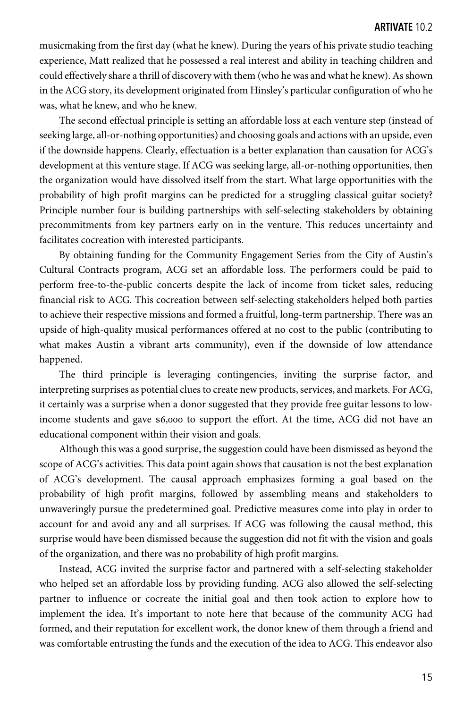musicmaking from the first day (what he knew). During the years of his private studio teaching experience, Matt realized that he possessed a real interest and ability in teaching children and could effectively share a thrill of discovery with them (who he was and what he knew). As shown in the ACG story, its development originated from Hinsley's particular configuration of who he was, what he knew, and who he knew.

The second effectual principle is setting an affordable loss at each venture step (instead of seeking large, all-or-nothing opportunities) and choosing goals and actions with an upside, even if the downside happens. Clearly, effectuation is a better explanation than causation for ACG's development at this venture stage. If ACG was seeking large, all-or-nothing opportunities, then the organization would have dissolved itself from the start. What large opportunities with the probability of high profit margins can be predicted for a struggling classical guitar society? Principle number four is building partnerships with self-selecting stakeholders by obtaining precommitments from key partners early on in the venture. This reduces uncertainty and facilitates cocreation with interested participants.

By obtaining funding for the Community Engagement Series from the City of Austin's Cultural Contracts program, ACG set an affordable loss. The performers could be paid to perform free-to-the-public concerts despite the lack of income from ticket sales, reducing financial risk to ACG. This cocreation between self-selecting stakeholders helped both parties to achieve their respective missions and formed a fruitful, long-term partnership. There was an upside of high-quality musical performances offered at no cost to the public (contributing to what makes Austin a vibrant arts community), even if the downside of low attendance happened.

The third principle is leveraging contingencies, inviting the surprise factor, and interpreting surprises as potential clues to create new products, services, and markets. For ACG, it certainly was a surprise when a donor suggested that they provide free guitar lessons to lowincome students and gave \$6,000 to support the effort. At the time, ACG did not have an educational component within their vision and goals.

Although this was a good surprise, the suggestion could have been dismissed as beyond the scope of ACG's activities. This data point again shows that causation is not the best explanation of ACG's development. The causal approach emphasizes forming a goal based on the probability of high profit margins, followed by assembling means and stakeholders to unwaveringly pursue the predetermined goal. Predictive measures come into play in order to account for and avoid any and all surprises. If ACG was following the causal method, this surprise would have been dismissed because the suggestion did not fit with the vision and goals of the organization, and there was no probability of high profit margins.

Instead, ACG invited the surprise factor and partnered with a self-selecting stakeholder who helped set an affordable loss by providing funding. ACG also allowed the self-selecting partner to influence or cocreate the initial goal and then took action to explore how to implement the idea. It's important to note here that because of the community ACG had formed, and their reputation for excellent work, the donor knew of them through a friend and was comfortable entrusting the funds and the execution of the idea to ACG. This endeavor also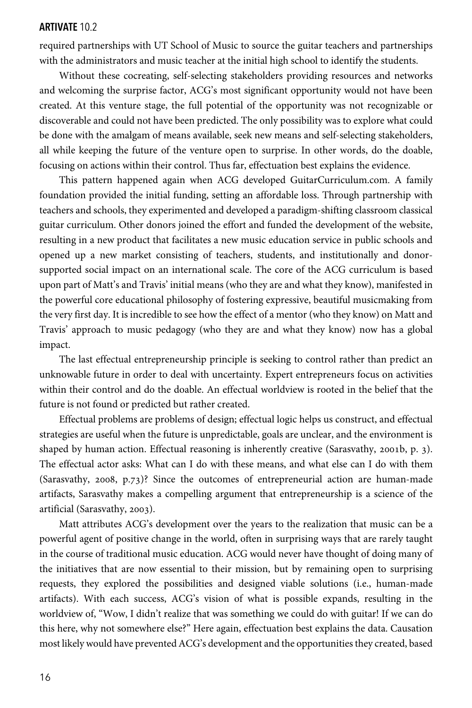required partnerships with UT School of Music to source the guitar teachers and partnerships with the administrators and music teacher at the initial high school to identify the students.

Without these cocreating, self-selecting stakeholders providing resources and networks and welcoming the surprise factor, ACG's most significant opportunity would not have been created. At this venture stage, the full potential of the opportunity was not recognizable or discoverable and could not have been predicted. The only possibility was to explore what could be done with the amalgam of means available, seek new means and self-selecting stakeholders, all while keeping the future of the venture open to surprise. In other words, do the doable, focusing on actions within their control. Thus far, effectuation best explains the evidence.

This pattern happened again when ACG developed GuitarCurriculum.com. A family foundation provided the initial funding, setting an affordable loss. Through partnership with teachers and schools, they experimented and developed a paradigm-shifting classroom classical guitar curriculum. Other donors joined the effort and funded the development of the website, resulting in a new product that facilitates a new music education service in public schools and opened up a new market consisting of teachers, students, and institutionally and donorsupported social impact on an international scale. The core of the ACG curriculum is based upon part of Matt's and Travis' initial means (who they are and what they know), manifested in the powerful core educational philosophy of fostering expressive, beautiful musicmaking from the very first day. It is incredible to see how the effect of a mentor (who they know) on Matt and Travis' approach to music pedagogy (who they are and what they know) now has a global impact.

The last effectual entrepreneurship principle is seeking to control rather than predict an unknowable future in order to deal with uncertainty. Expert entrepreneurs focus on activities within their control and do the doable. An effectual worldview is rooted in the belief that the future is not found or predicted but rather created.

Effectual problems are problems of design; effectual logic helps us construct, and effectual strategies are useful when the future is unpredictable, goals are unclear, and the environment is shaped by human action. Effectual reasoning is inherently creative (Sarasvathy, 2001b, p. 3). The effectual actor asks: What can I do with these means, and what else can I do with them (Sarasvathy, 2008, p.73)? Since the outcomes of entrepreneurial action are human-made artifacts, Sarasvathy makes a compelling argument that entrepreneurship is a science of the artificial (Sarasvathy, 2003).

Matt attributes ACG's development over the years to the realization that music can be a powerful agent of positive change in the world, often in surprising ways that are rarely taught in the course of traditional music education. ACG would never have thought of doing many of the initiatives that are now essential to their mission, but by remaining open to surprising requests, they explored the possibilities and designed viable solutions (i.e., human-made artifacts). With each success, ACG's vision of what is possible expands, resulting in the worldview of, "Wow, I didn't realize that was something we could do with guitar! If we can do this here, why not somewhere else?" Here again, effectuation best explains the data. Causation most likely would have prevented ACG's development and the opportunities they created, based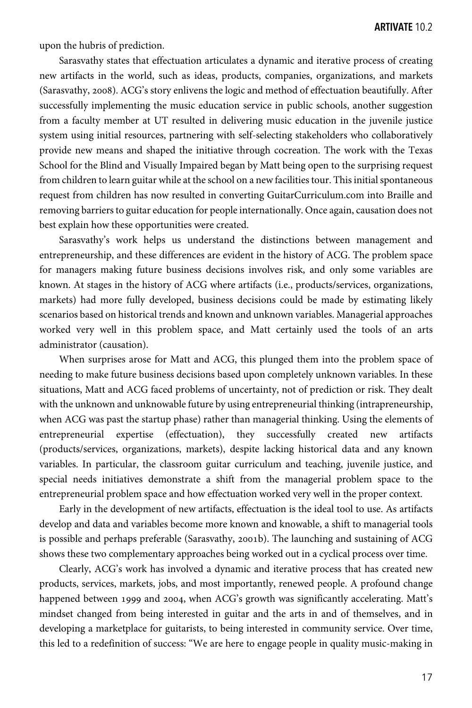upon the hubris of prediction.

Sarasvathy states that effectuation articulates a dynamic and iterative process of creating new artifacts in the world, such as ideas, products, companies, organizations, and markets (Sarasvathy, 2008). ACG's story enlivens the logic and method of effectuation beautifully. After successfully implementing the music education service in public schools, another suggestion from a faculty member at UT resulted in delivering music education in the juvenile justice system using initial resources, partnering with self-selecting stakeholders who collaboratively provide new means and shaped the initiative through cocreation. The work with the Texas School for the Blind and Visually Impaired began by Matt being open to the surprising request from children to learn guitar while at the school on a new facilities tour. This initial spontaneous request from children has now resulted in converting GuitarCurriculum.com into Braille and removing barriers to guitar education for people internationally. Once again, causation does not best explain how these opportunities were created.

Sarasvathy's work helps us understand the distinctions between management and entrepreneurship, and these differences are evident in the history of ACG. The problem space for managers making future business decisions involves risk, and only some variables are known. At stages in the history of ACG where artifacts (i.e., products/services, organizations, markets) had more fully developed, business decisions could be made by estimating likely scenarios based on historical trends and known and unknown variables. Managerial approaches worked very well in this problem space, and Matt certainly used the tools of an arts administrator (causation).

When surprises arose for Matt and ACG, this plunged them into the problem space of needing to make future business decisions based upon completely unknown variables. In these situations, Matt and ACG faced problems of uncertainty, not of prediction or risk. They dealt with the unknown and unknowable future by using entrepreneurial thinking (intrapreneurship, when ACG was past the startup phase) rather than managerial thinking. Using the elements of entrepreneurial expertise (effectuation), they successfully created new artifacts (products/services, organizations, markets), despite lacking historical data and any known variables. In particular, the classroom guitar curriculum and teaching, juvenile justice, and special needs initiatives demonstrate a shift from the managerial problem space to the entrepreneurial problem space and how effectuation worked very well in the proper context.

Early in the development of new artifacts, effectuation is the ideal tool to use. As artifacts develop and data and variables become more known and knowable, a shift to managerial tools is possible and perhaps preferable (Sarasvathy, 2001b). The launching and sustaining of ACG shows these two complementary approaches being worked out in a cyclical process over time.

Clearly, ACG's work has involved a dynamic and iterative process that has created new products, services, markets, jobs, and most importantly, renewed people. A profound change happened between 1999 and 2004, when ACG's growth was significantly accelerating. Matt's mindset changed from being interested in guitar and the arts in and of themselves, and in developing a marketplace for guitarists, to being interested in community service. Over time, this led to a redefinition of success: "We are here to engage people in quality music-making in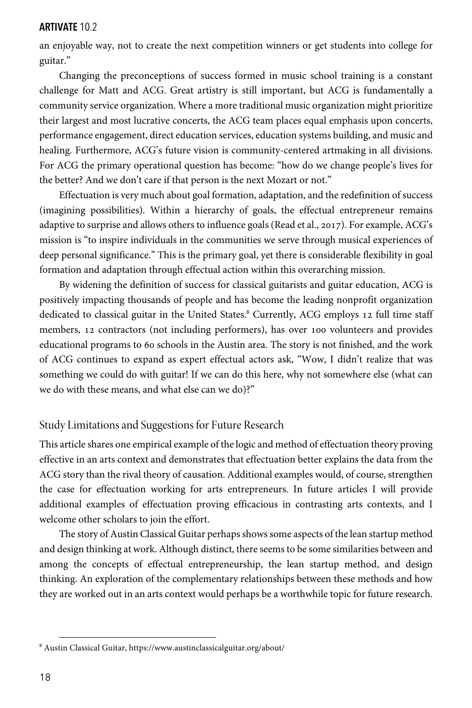an enjoyable way, not to create the next competition winners or get students into college for guitar."

Changing the preconceptions of success formed in music school training is a constant challenge for Matt and ACG. Great artistry is still important, but ACG is fundamentally a community service organization. Where a more traditional music organization might prioritize their largest and most lucrative concerts, the ACG team places equal emphasis upon concerts, performance engagement, direct education services, education systems building, and music and healing. Furthermore, ACG's future vision is community-centered artmaking in all divisions. For ACG the primary operational question has become: "how do we change people's lives for the better? And we don't care if that person is the next Mozart or not."

Effectuation is very much about goal formation, adaptation, and the redefinition of success (imagining possibilities). Within a hierarchy of goals, the effectual entrepreneur remains adaptive to surprise and allows others to influence goals (Read et al., 2017). For example, ACG's mission is "to inspire individuals in the communities we serve through musical experiences of deep personal significance." This is the primary goal, yet there is considerable flexibility in goal formation and adaptation through effectual action within this overarching mission.

By widening the definition of success for classical guitarists and guitar education, ACG is positively impacting thousands of people and has become the leading nonprofit organization dedicated to classical guitar in the United States.<sup>8</sup> Currently, ACG employs 12 full time staff members, 12 contractors (not including performers), has over 100 volunteers and provides educational programs to 60 schools in the Austin area. The story is not finished, and the work of ACG continues to expand as expert effectual actors ask, "Wow, I didn't realize that was something we could do with guitar! If we can do this here, why not somewhere else (what can we do with these means, and what else can we do)?"

# Study Limitations and Suggestions for Future Research

This article shares one empirical example of the logic and method of effectuation theory proving effective in an arts context and demonstrates that effectuation better explains the data from the ACG story than the rival theory of causation. Additional examples would, of course, strengthen the case for effectuation working for arts entrepreneurs. In future articles I will provide additional examples of effectuation proving efficacious in contrasting arts contexts, and I welcome other scholars to join the effort.

The story of Austin Classical Guitar perhaps shows some aspects of the lean startup method and design thinking at work. Although distinct, there seems to be some similarities between and among the concepts of effectual entrepreneurship, the lean startup method, and design thinking. An exploration of the complementary relationships between these methods and how they are worked out in an arts context would perhaps be a worthwhile topic for future research.

<sup>8</sup> Austin Classical Guitar, https://www.austinclassicalguitar.org/about/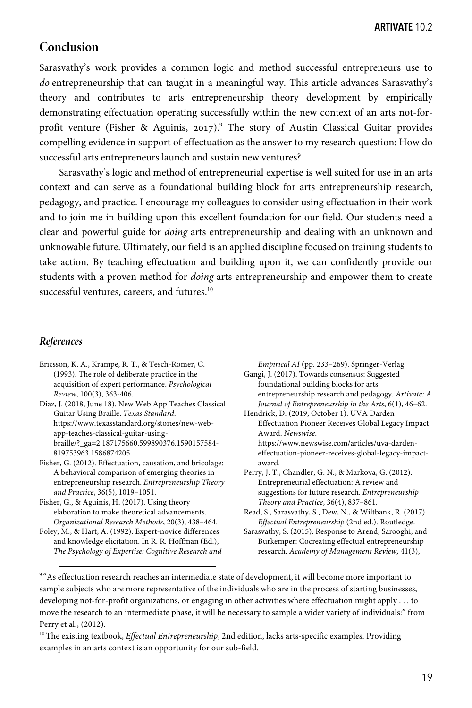# **Conclusion**

Sarasvathy's work provides a common logic and method successful entrepreneurs use to *do* entrepreneurship that can taught in a meaningful way. This article advances Sarasvathy's theory and contributes to arts entrepreneurship theory development by empirically demonstrating effectuation operating successfully within the new context of an arts not-forprofit venture (Fisher & Aguinis, 2017).<sup>9</sup> The story of Austin Classical Guitar provides compelling evidence in support of effectuation as the answer to my research question: How do successful arts entrepreneurs launch and sustain new ventures?

Sarasvathy's logic and method of entrepreneurial expertise is well suited for use in an arts context and can serve as a foundational building block for arts entrepreneurship research, pedagogy, and practice. I encourage my colleagues to consider using effectuation in their work and to join me in building upon this excellent foundation for our field. Our students need a clear and powerful guide for *doing* arts entrepreneurship and dealing with an unknown and unknowable future. Ultimately, our field is an applied discipline focused on training students to take action. By teaching effectuation and building upon it, we can confidently provide our students with a proven method for *doing* arts entrepreneurship and empower them to create successful ventures, careers, and futures.<sup>10</sup>

## *References*

- Ericsson, K. A., Krampe, R. T., & Tesch-Römer, C. (1993). The role of deliberate practice in the acquisition of expert performance. *Psychological Review*, 100(3), 363-406.
- Diaz, J. (2018, June 18). New Web App Teaches Classical Guitar Using Braille. *Texas Standard*. https://www.texasstandard.org/stories/new-webapp-teaches-classical-guitar-usingbraille/?\_ga=2.187175660.599890376.1590157584- 819753963.1586874205.
- Fisher, G. (2012). Effectuation, causation, and bricolage: A behavioral comparison of emerging theories in entrepreneurship research. *Entrepreneurship Theory and Practice*, 36(5), 1019–1051.
- Fisher, G., & Aguinis, H. (2017). Using theory elaboration to make theoretical advancements. *Organizational Research Methods*, 20(3), 438–464.
- Foley, M., & Hart, A. (1992). Expert-novice differences and knowledge elicitation. In R. R. Hoffman (Ed.), *The Psychology of Expertise: Cognitive Research and*

*Empirical AI* (pp. 233–269). Springer-Verlag. Gangi, J. (2017). Towards consensus: Suggested foundational building blocks for arts entrepreneurship research and pedagogy. *Artivate: A Journal of Entrepreneurship in the Arts*, 6(1), 46–62.

Hendrick, D. (2019, October 1). UVA Darden Effectuation Pioneer Receives Global Legacy Impact Award. *Newswise*. https://www.newswise.com/articles/uva-dardeneffectuation-pioneer-receives-global-legacy-impactaward.

Perry, J. T., Chandler, G. N., & Markova, G. (2012). Entrepreneurial effectuation: A review and suggestions for future research. *Entrepreneurship Theory and Practice*, 36(4), 837–861.

Sarasvathy, S. (2015). Response to Arend, Sarooghi, and Burkemper: Cocreating effectual entrepreneurship research. *Academy of Management Review,* 41(3),

<sup>9</sup> "As effectuation research reaches an intermediate state of development, it will become more important to sample subjects who are more representative of the individuals who are in the process of starting businesses, developing not-for-profit organizations, or engaging in other activities where effectuation might apply . . . to move the research to an intermediate phase, it will be necessary to sample a wider variety of individuals:" from Perry et al., (2012).

10The existing textbook, *Effectual Entrepreneurship*, 2nd edition, lacks arts-specific examples. Providing examples in an arts context is an opportunity for our sub-field.

Read, S., Sarasvathy, S., Dew, N., & Wiltbank, R. (2017). *Effectual Entrepreneurship* (2nd ed.). Routledge.